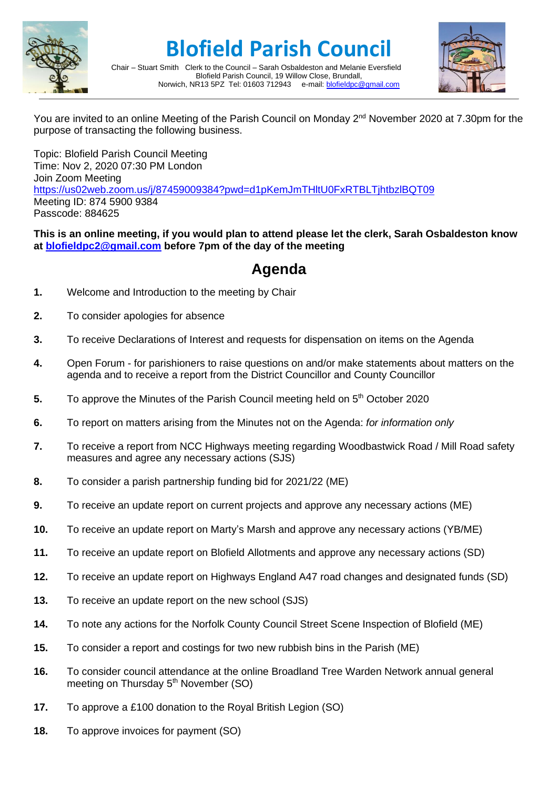

## **Blofield Parish Council**



Chair – Stuart Smith Clerk to the Council – Sarah Osbaldeston and Melanie Eversfield Blofield Parish Council, 19 Willow Close, Brundall, Norwich, NR13 5PZ Tel: 01603 712943 e-mail: [blofieldpc@gmail.com](mailto:blofieldpc@gmail.com)

You are invited to an online Meeting of the Parish Council on Monday 2<sup>nd</sup> November 2020 at 7.30pm for the purpose of transacting the following business.

Topic: Blofield Parish Council Meeting Time: Nov 2, 2020 07:30 PM London Join Zoom Meeting <https://us02web.zoom.us/j/87459009384?pwd=d1pKemJmTHltU0FxRTBLTjhtbzlBQT09> Meeting ID: 874 5900 9384 Passcode: 884625

**This is an online meeting, if you would plan to attend please let the clerk, Sarah Osbaldeston know at [blofieldpc2@gmail.com](mailto:blofieldpc2@gmail.com) before 7pm of the day of the meeting**

## **Agenda**

- **1.** Welcome and Introduction to the meeting by Chair
- **2.** To consider apologies for absence
- **3.** To receive Declarations of Interest and requests for dispensation on items on the Agenda
- **4.** Open Forum for parishioners to raise questions on and/or make statements about matters on the agenda and to receive a report from the District Councillor and County Councillor
- **5.** To approve the Minutes of the Parish Council meeting held on 5<sup>th</sup> October 2020
- **6.** To report on matters arising from the Minutes not on the Agenda: *for information only*
- **7.** To receive a report from NCC Highways meeting regarding Woodbastwick Road / Mill Road safety measures and agree any necessary actions (SJS)
- **8.** To consider a parish partnership funding bid for 2021/22 (ME)
- **9.** To receive an update report on current projects and approve any necessary actions (ME)
- **10.** To receive an update report on Marty's Marsh and approve any necessary actions (YB/ME)
- **11.** To receive an update report on Blofield Allotments and approve any necessary actions (SD)
- **12.** To receive an update report on Highways England A47 road changes and designated funds (SD)
- **13.** To receive an update report on the new school (SJS)
- **14.** To note any actions for the Norfolk County Council Street Scene Inspection of Blofield (ME)
- **15.** To consider a report and costings for two new rubbish bins in the Parish (ME)
- **16.** To consider council attendance at the online Broadland Tree Warden Network annual general meeting on Thursday  $5<sup>th</sup>$  November (SO)
- **17.** To approve a £100 donation to the Royal British Legion (SO)
- **18.** To approve invoices for payment (SO)